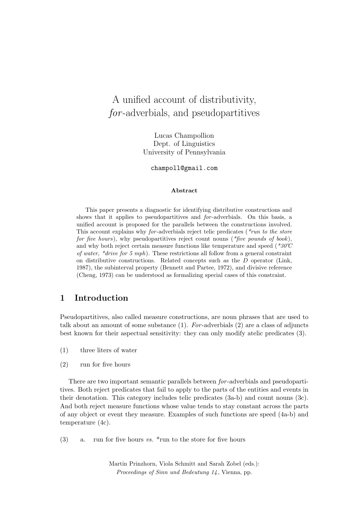# A unified account of distributivity, for -adverbials, and pseudopartitives

Lucas Champollion Dept. of Linguistics University of Pennsylvania

champoll@gmail.com

#### Abstract

This paper presents a diagnostic for identifying distributive constructions and shows that it applies to pseudopartitives and for -adverbials. On this basis, a unified account is proposed for the parallels between the constructions involved. This account explains why for-adverbials reject telic predicates ( $*<sub>run</sub>$  to the store for five hours), why pseudopartitives reject count nouns ( $*$ five pounds of book), and why both reject certain measure functions like temperature and speed ( $*30^{\circ}$ C) of water, \*drive for 5 mph). These restrictions all follow from a general constraint on distributive constructions. Related concepts such as the D operator (Link, 1987), the subinterval property (Bennett and Partee, 1972), and divisive reference (Cheng, 1973) can be understood as formalizing special cases of this constraint.

## 1 Introduction

Pseudopartitives, also called measure constructions, are noun phrases that are used to talk about an amount of some substance  $(1)$ . For-adverbials  $(2)$  are a class of adjuncts best known for their aspectual sensitivity: they can only modify atelic predicates (3).

- (1) three liters of water
- (2) run for five hours

There are two important semantic parallels between for -adverbials and pseudopartitives. Both reject predicates that fail to apply to the parts of the entities and events in their denotation. This category includes telic predicates (3a-b) and count nouns (3c). And both reject measure functions whose value tends to stay constant across the parts of any object or event they measure. Examples of such functions are speed (4a-b) and temperature (4c).

(3) a. run for five hours vs.  $*$ run to the store for five hours

Martin Prinzhorn, Viola Schmitt and Sarah Zobel (eds.): Proceedings of Sinn und Bedeutung 14, Vienna, pp.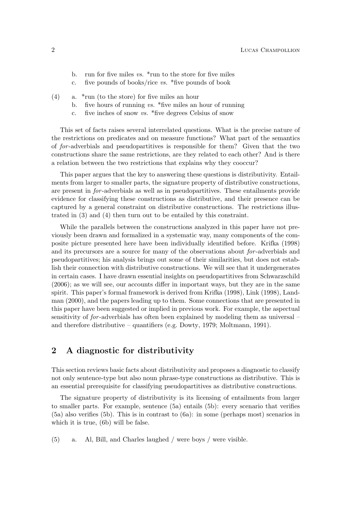- b. run for five miles  $vs.$  \*run to the store for five miles
- c. five pounds of books/rice  $vs.$  \*five pounds of book
- (4) a. \*run (to the store) for five miles an hour
	- b. five hours of running vs.  $*$  five miles an hour of running
	- c. five inches of snow vs. \*five degrees Celsius of snow

This set of facts raises several interrelated questions. What is the precise nature of the restrictions on predicates and on measure functions? What part of the semantics of for -adverbials and pseudopartitives is responsible for them? Given that the two constructions share the same restrictions, are they related to each other? And is there a relation between the two restrictions that explains why they cooccur?

This paper argues that the key to answering these questions is distributivity. Entailments from larger to smaller parts, the signature property of distributive constructions, are present in for -adverbials as well as in pseudopartitives. These entailments provide evidence for classifying these constructions as distributive, and their presence can be captured by a general constraint on distributive constructions. The restrictions illustrated in (3) and (4) then turn out to be entailed by this constraint.

While the parallels between the constructions analyzed in this paper have not previously been drawn and formalized in a systematic way, many components of the composite picture presented here have been individually identified before. Krifka (1998) and its precursors are a source for many of the observations about for -adverbials and pseudopartitives; his analysis brings out some of their similarities, but does not establish their connection with distributive constructions. We will see that it undergenerates in certain cases. I have drawn essential insights on pseudopartitives from Schwarzschild (2006); as we will see, our accounts differ in important ways, but they are in the same spirit. This paper's formal framework is derived from Krifka (1998), Link (1998), Landman (2000), and the papers leading up to them. Some connections that are presented in this paper have been suggested or implied in previous work. For example, the aspectual sensitivity of for -adverbials has often been explained by modeling them as universal – and therefore distributive – quantifiers (e.g. Dowty, 1979; Moltmann, 1991).

### 2 A diagnostic for distributivity

This section reviews basic facts about distributivity and proposes a diagnostic to classify not only sentence-type but also noun phrase-type constructions as distributive. This is an essential prerequisite for classifying pseudopartitives as distributive constructions.

The signature property of distributivity is its licensing of entailments from larger to smaller parts. For example, sentence (5a) entails (5b): every scenario that verifies (5a) also verifies (5b). This is in contrast to (6a): in some (perhaps most) scenarios in which it is true, (6b) will be false.

(5) a. Al, Bill, and Charles laughed / were boys / were visible.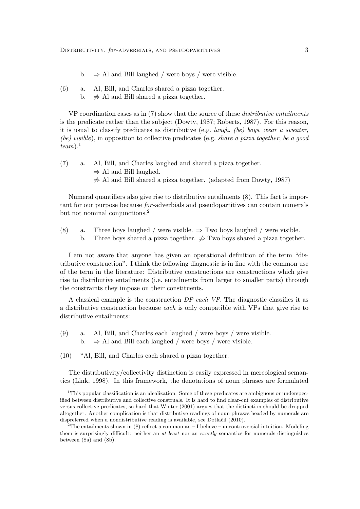- b.  $\Rightarrow$  Al and Bill laughed / were boys / were visible.
- (6) a. Al, Bill, and Charles shared a pizza together.
	- b.  $\Rightarrow$  Al and Bill shared a pizza together.

VP coordination cases as in (7) show that the source of these *distributive entailments* is the predicate rather than the subject (Dowty, 1987; Roberts, 1987). For this reason, it is usual to classify predicates as distributive (e.g. *laugh, (be) boys, wear a sweater,* (be) visible), in opposition to collective predicates (e.g. share a pizza together, be a good  $team$ ).<sup>1</sup>

- (7) a. Al, Bill, and Charles laughed and shared a pizza together.  $\Rightarrow$  Al and Bill laughed.
	- $\neq$  Al and Bill shared a pizza together. (adapted from Dowty, 1987)

Numeral quantifiers also give rise to distributive entailments (8). This fact is important for our purpose because for -adverbials and pseudopartitives can contain numerals but not nominal conjunctions.<sup>2</sup>

(8) a. Three boys laughed / were visible.  $\Rightarrow$  Two boys laughed / were visible. b. Three boys shared a pizza together.  $\Rightarrow$  Two boys shared a pizza together.

I am not aware that anyone has given an operational definition of the term "distributive construction". I think the following diagnostic is in line with the common use of the term in the literature: Distributive constructions are constructions which give rise to distributive entailments (i.e. entailments from larger to smaller parts) through the constraints they impose on their constituents.

A classical example is the construction DP each VP. The diagnostic classifies it as a distributive construction because each is only compatible with VPs that give rise to distributive entailments:

- (9) a. Al, Bill, and Charles each laughed / were boys / were visible. b.  $\Rightarrow$  Al and Bill each laughed / were boys / were visible.
- (10) \*Al, Bill, and Charles each shared a pizza together.

The distributivity/collectivity distinction is easily expressed in mereological semantics (Link, 1998). In this framework, the denotations of noun phrases are formulated

<sup>&</sup>lt;sup>1</sup>This popular classification is an idealization. Some of these predicates are ambiguous or underspecified between distributive and collective construals. It is hard to find clear-cut examples of distributive versus collective predicates, so hard that Winter (2001) argues that the distinction should be dropped altogether. Another complication is that distributive readings of noun phrases headed by numerals are dispreferred when a nondistributive reading is available, see Dotlačil (2010).

 $2$ The entailments shown in  $(8)$  reflect a common an  $-1$  believe – uncontroversial intuition. Modeling them is surprisingly difficult: neither an at least nor an exactly semantics for numerals distinguishes between (8a) and (8b).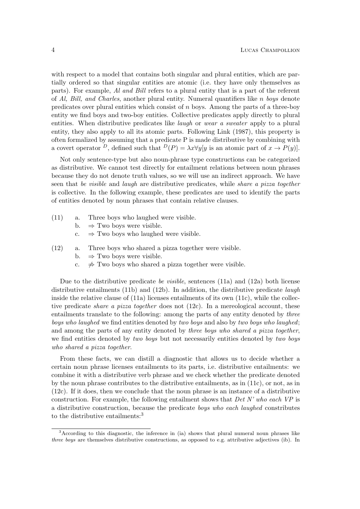with respect to a model that contains both singular and plural entities, which are partially ordered so that singular entities are atomic (i.e. they have only themselves as parts). For example, Al and Bill refers to a plural entity that is a part of the referent of Al, Bill, and Charles, another plural entity. Numeral quantifiers like n boys denote predicates over plural entities which consist of  $n$  boys. Among the parts of a three-boy entity we find boys and two-boy entities. Collective predicates apply directly to plural entities. When distributive predicates like *laugh* or *wear a sweater* apply to a plural entity, they also apply to all its atomic parts. Following Link (1987), this property is often formalized by assuming that a predicate P is made distributive by combining with a covert operator <sup>D</sup>, defined such that  $D(P) = \lambda x \forall y [y]$  is an atomic part of  $x \to P(y)$ .

Not only sentence-type but also noun-phrase type constructions can be categorized as distributive. We cannot test directly for entailment relations between noun phrases because they do not denote truth values, so we will use an indirect approach. We have seen that be visible and laugh are distributive predicates, while share a pizza together is collective. In the following example, these predicates are used to identify the parts of entities denoted by noun phrases that contain relative clauses.

- (11) a. Three boys who laughed were visible.
	- b.  $\Rightarrow$  Two boys were visible.
	- c.  $\Rightarrow$  Two boys who laughed were visible.
- (12) a. Three boys who shared a pizza together were visible.
	- b.  $\Rightarrow$  Two boys were visible.
	- c.  $\Rightarrow$  Two boys who shared a pizza together were visible.

Due to the distributive predicate be visible, sentences (11a) and (12a) both license distributive entailments (11b) and (12b). In addition, the distributive predicate *laugh* inside the relative clause of  $(11a)$  licenses entailments of its own  $(11c)$ , while the collective predicate *share a pizza together* does not  $(12c)$ . In a mereological account, these entailments translate to the following: among the parts of any entity denoted by three boys who laughed we find entities denoted by two boys and also by two boys who laughed; and among the parts of any entity denoted by *three boys who shared a pizza together*. we find entities denoted by two boys but not necessarily entities denoted by two boys who shared a pizza together.

From these facts, we can distill a diagnostic that allows us to decide whether a certain noun phrase licenses entailments to its parts, i.e. distributive entailments: we combine it with a distributive verb phrase and we check whether the predicate denoted by the noun phrase contributes to the distributive entailments, as in (11c), or not, as in (12c). If it does, then we conclude that the noun phrase is an instance of a distributive construction. For example, the following entailment shows that  $Det N'$  who each  $VP$  is a distributive construction, because the predicate boys who each laughed constributes to the distributive entailments:<sup>3</sup>

<sup>&</sup>lt;sup>3</sup>According to this diagnostic, the inference in (ia) shows that plural numeral noun phrases like three boys are themselves distributive constructions, as opposed to e.g. attributive adjectives (ib). In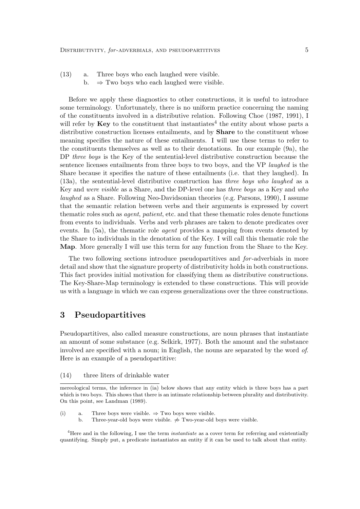- (13) a. Three boys who each laughed were visible.
	- b.  $\Rightarrow$  Two boys who each laughed were visible.

Before we apply these diagnostics to other constructions, it is useful to introduce some terminology. Unfortunately, there is no uniform practice concerning the naming of the constituents involved in a distributive relation. Following Choe (1987, 1991), I will refer by  $\text{Key}$  to the constituent that instantiates<sup>4</sup> the entity about whose parts a distributive construction licenses entailments, and by **Share** to the constituent whose meaning specifies the nature of these entailments. I will use these terms to refer to the constituents themselves as well as to their denotations. In our example (9a), the DP three boys is the Key of the sentential-level distributive construction because the sentence licenses entailments from three boys to two boys, and the VP laughed is the Share because it specifies the nature of these entailments (i.e. that they laughed). In (13a), the sentential-level distributive construction has three boys who laughed as a Key and were visible as a Share, and the DP-level one has three boys as a Key and who laughed as a Share. Following Neo-Davidsonian theories (e.g. Parsons, 1990), I assume that the semantic relation between verbs and their arguments is expressed by covert thematic roles such as agent, patient, etc. and that these thematic roles denote functions from events to individuals. Verbs and verb phrases are taken to denote predicates over events. In (5a), the thematic role *agent* provides a mapping from events denoted by the Share to individuals in the denotation of the Key. I will call this thematic role the Map. More generally I will use this term for any function from the Share to the Key.

The two following sections introduce pseudopartitives and for -adverbials in more detail and show that the signature property of distributivity holds in both constructions. This fact provides initial motivation for classifying them as distributive constructions. The Key-Share-Map terminology is extended to these constructions. This will provide us with a language in which we can express generalizations over the three constructions.

## 3 Pseudopartitives

Pseudopartitives, also called measure constructions, are noun phrases that instantiate an amount of some substance (e.g. Selkirk, 1977). Both the amount and the substance involved are specified with a noun; in English, the nouns are separated by the word of. Here is an example of a pseudopartitive:

(14) three liters of drinkable water

<sup>4</sup>Here and in the following, I use the term *instantiate* as a cover term for referring and existentially quantifying. Simply put, a predicate instantiates an entity if it can be used to talk about that entity.

mereological terms, the inference in (ia) below shows that any entity which is three boys has a part which is two boys. This shows that there is an intimate relationship between plurality and distributivity. On this point, see Landman (1989).

<sup>(</sup>i) a. Three boys were visible.  $\Rightarrow$  Two boys were visible.

b. Three-year-old boys were visible.  $\Rightarrow$  Two-year-old boys were visible.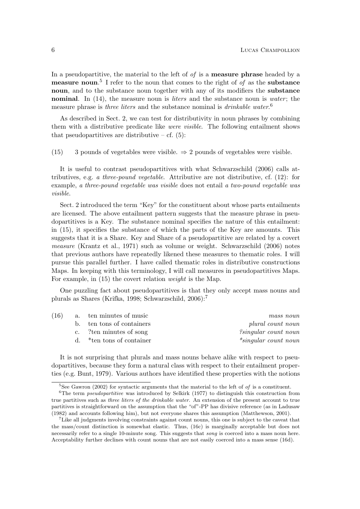In a pseudopartitive, the material to the left of  $of$  is a **measure phrase** headed by a measure noun.<sup>5</sup> I refer to the noun that comes to the right of of as the substance noun, and to the substance noun together with any of its modifiers the **substance** nominal. In  $(14)$ , the measure noun is *liters* and the substance noun is *water*; the measure phrase is *three liters* and the substance nominal is *drinkable water.*<sup>6</sup>

As described in Sect. 2, we can test for distributivity in noun phrases by combining them with a distributive predicate like *were visible*. The following entailment shows that pseudopartitives are distributive  $-$  cf. (5):

(15) 3 pounds of vegetables were visible.  $\Rightarrow$  2 pounds of vegetables were visible.

It is useful to contrast pseudopartitives with what Schwarzschild (2006) calls attributives, e.g. a three-pound vegetable. Attributive are not distributive, cf.  $(12)$ : for example, a three-pound vegetable was visible does not entail a two-pound vegetable was visible.

Sect. 2 introduced the term "Key" for the constituent about whose parts entailments are licensed. The above entailment pattern suggests that the measure phrase in pseudopartitives is a Key. The substance nominal specifies the nature of this entailment: in (15), it specifies the substance of which the parts of the Key are amounts. This suggests that it is a Share. Key and Share of a pseudopartitive are related by a covert measure (Krantz et al., 1971) such as volume or weight. Schwarzschild (2006) notes that previous authors have repeatedly likened these measures to thematic roles. I will pursue this parallel further. I have called thematic roles in distributive constructions Maps. In keeping with this terminology, I will call measures in pseudopartitives Maps. For example, in (15) the covert relation weight is the Map.

One puzzling fact about pseudopartitives is that they only accept mass nouns and plurals as Shares (Krifka, 1998; Schwarzschild, 2006):<sup>7</sup>

| (16) | a. ten minutes of music      | mass noun                   |
|------|------------------------------|-----------------------------|
|      | b. ten tons of containers    | plural count noun           |
|      | c. ?ten minutes of song      | <i>isingular count noun</i> |
|      | d. $*$ ten tons of container | $*$ singular count noun     |

It is not surprising that plurals and mass nouns behave alike with respect to pseudopartitives, because they form a natural class with respect to their entailment properties (e.g. Bunt, 1979). Various authors have identified these properties with the notions

<sup>&</sup>lt;sup>5</sup>See Gawron (2002) for syntactic arguments that the material to the left of of is a constituent.

 ${}^{6}$ The term *pseudopartitive* was introduced by Selkirk (1977) to distinguish this construction from true partitives such as three liters of the drinkable water. An extension of the present account to true partitives is straightforward on the assumption that the "of"-PP has divisive reference (as in Ladusaw (1982) and accounts following him), but not everyone shares this assumption (Matthewson, 2001).

<sup>7</sup>Like all judgments involving constraints against count nouns, this one is subject to the caveat that the mass/count distinction is somewhat elastic. Thus, (16c) is marginally acceptable but does not necessarily refer to a single 10-minute song. This suggests that *song* is coerced into a mass noun here. Acceptability further declines with count nouns that are not easily coerced into a mass sense (16d).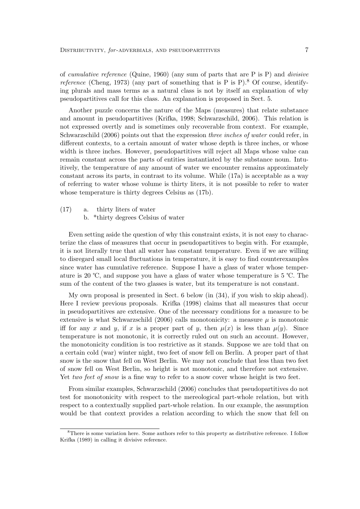of cumulative reference (Quine, 1960) (any sum of parts that are P is P) and divisive reference (Cheng, 1973) (any part of something that is P is P).<sup>8</sup> Of course, identifying plurals and mass terms as a natural class is not by itself an explanation of why pseudopartitives call for this class. An explanation is proposed in Sect. 5.

Another puzzle concerns the nature of the Maps (measures) that relate substance and amount in pseudopartitives (Krifka, 1998; Schwarzschild, 2006). This relation is not expressed overtly and is sometimes only recoverable from context. For example, Schwarzschild (2006) points out that the expression *three inches of water* could refer, in different contexts, to a certain amount of water whose depth is three inches, or whose width is three inches. However, pseudopartitives will reject all Maps whose value can remain constant across the parts of entities instantiated by the substance noun. Intuitively, the temperature of any amount of water we encounter remains approximately constant across its parts, in contrast to its volume. While (17a) is acceptable as a way of referring to water whose volume is thirty liters, it is not possible to refer to water whose temperature is thirty degrees Celsius as (17b).

(17) a. thirty liters of water b. \*thirty degrees Celsius of water

Even setting aside the question of why this constraint exists, it is not easy to characterize the class of measures that occur in pseudopartitives to begin with. For example, it is not literally true that all water has constant temperature. Even if we are willing to disregard small local fluctuations in temperature, it is easy to find counterexamples since water has cumulative reference. Suppose I have a glass of water whose temperature is 20 ℃, and suppose you have a glass of water whose temperature is 5 ℃. The sum of the content of the two glasses is water, but its temperature is not constant.

My own proposal is presented in Sect. 6 below (in (34), if you wish to skip ahead). Here I review previous proposals. Krifka (1998) claims that all measures that occur in pseudopartitives are extensive. One of the necessary conditions for a measure to be extensive is what Schwarzschild (2006) calls monotonicity: a measure  $\mu$  is monotonic iff for any x and y, if x is a proper part of y, then  $\mu(x)$  is less than  $\mu(y)$ . Since temperature is not monotonic, it is correctly ruled out on such an account. However, the monotonicity condition is too restrictive as it stands. Suppose we are told that on a certain cold (war) winter night, two feet of snow fell on Berlin. A proper part of that snow is the snow that fell on West Berlin. We may not conclude that less than two feet of snow fell on West Berlin, so height is not monotonic, and therefore not extensive. Yet two feet of snow is a fine way to refer to a snow cover whose height is two feet.

From similar examples, Schwarzschild (2006) concludes that pseudopartitives do not test for monotonicity with respect to the mereological part-whole relation, but with respect to a contextually supplied part-whole relation. In our example, the assumption would be that context provides a relation according to which the snow that fell on

<sup>8</sup>There is some variation here. Some authors refer to this property as distributive reference. I follow Krifka (1989) in calling it divisive reference.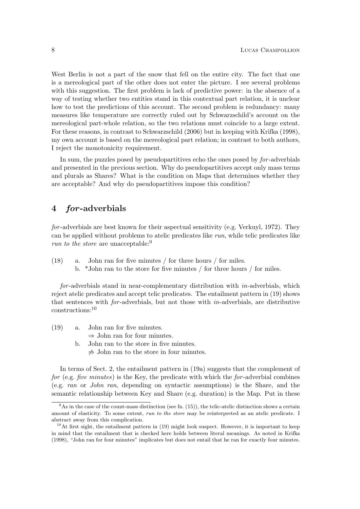West Berlin is not a part of the snow that fell on the entire city. The fact that one is a mereological part of the other does not enter the picture. I see several problems with this suggestion. The first problem is lack of predictive power: in the absence of a way of testing whether two entities stand in this contextual part relation, it is unclear how to test the predictions of this account. The second problem is redundancy: many measures like temperature are correctly ruled out by Schwarzschild's account on the mereological part-whole relation, so the two relations must coincide to a large extent. For these reasons, in contrast to Schwarzschild (2006) but in keeping with Krifka (1998), my own account is based on the mereological part relation; in contrast to both authors, I reject the monotonicity requirement.

In sum, the puzzles posed by pseudopartitives echo the ones posed by for -adverbials and presented in the previous section. Why do pseudopartitives accept only mass terms and plurals as Shares? What is the condition on Maps that determines whether they are acceptable? And why do pseudopartitives impose this condition?

# 4 for-adverbials

for -adverbials are best known for their aspectual sensitivity (e.g. Verkuyl, 1972). They can be applied without problems to atelic predicates like run, while telic predicates like run to the store are unacceptable:<sup>9</sup>

(18) a. John ran for five minutes / for three hours / for miles. b. \*John ran to the store for five minutes / for three hours / for miles.

for -adverbials stand in near-complementary distribution with in-adverbials, which reject atelic predicates and accept telic predicates. The entailment pattern in (19) shows that sentences with  $for$ -adverbials, but not those with  $in$ -adverbials, are distributive constructions:<sup>10</sup>

- (19) a. John ran for five minutes.
	- $\Rightarrow$  John ran for four minutes.
	- b. John ran to the store in five minutes.  $\neq$  John ran to the store in four minutes.

In terms of Sect. 2, the entailment pattern in (19a) suggests that the complement of for (e.g. five minutes) is the Key, the predicate with which the for-adverbial combines (e.g. ran or John ran, depending on syntactic assumptions) is the Share, and the semantic relationship between Key and Share (e.g. duration) is the Map. Put in these

 $9<sup>9</sup>$ As in the case of the count-mass distinction (see fn. (15)), the telic-atelic distinction shows a certain amount of elasticity. To some extent, run to the store may be reinterpreted as an atelic predicate. I abstract away from this complication.

 $10$ At first sight, the entailment pattern in (19) might look suspect. However, it is important to keep in mind that the entailment that is checked here holds between literal meanings. As noted in Krifka (1998), "John ran for four minutes" implicates but does not entail that he ran for exactly four minutes.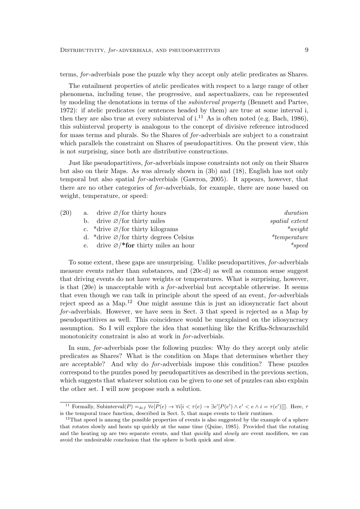terms, for -adverbials pose the puzzle why they accept only atelic predicates as Shares.

The entailment properties of atelic predicates with respect to a large range of other phenomena, including tense, the progressive, and aspectualizers, can be represented by modeling the denotations in terms of the subinterval property (Bennett and Partee, 1972): if atelic predicates (or sentences headed by them) are true at some interval i, then they are also true at every subinterval of  $i^{11}$  As is often noted (e.g. Bach, 1986), this subinterval property is analogous to the concept of divisive reference introduced for mass terms and plurals. So the Shares of *for*-adverbials are subject to a constraint which parallels the constraint on Shares of pseudopartitives. On the present view, this is not surprising, since both are distributive constructions.

Just like pseudopartitives, for -adverbials impose constraints not only on their Shares but also on their Maps. As was already shown in (3b) and (18), English has not only temporal but also spatial for -adverbials (Gawron, 2005). It appears, however, that there are no other categories of for -adverbials, for example, there are none based on weight, temperature, or speed:

| (20) | a. drive $\varnothing$ /for thirty hours                  | duration              |
|------|-----------------------------------------------------------|-----------------------|
|      | b. drive $\varnothing$ /for thirty miles                  | <i>spatial</i> extent |
|      | c. *drive $\varnothing$ /for thirty kilograms             | $*weight$             |
|      | d. *drive $\varnothing$ /for thirty degrees Celsius       | $*temperature$        |
|      | e. drive $\varnothing$ /* <b>for</b> thirty miles an hour | $*speed$              |

To some extent, these gaps are unsurprising. Unlike pseudopartitives, for -adverbials measure events rather than substances, and (20c-d) as well as common sense suggest that driving events do not have weights or temperatures. What is surprising, however, is that (20e) is unacceptable with a for -adverbial but acceptable otherwise. It seems that even though we can talk in principle about the speed of an event, for-adverbials reject speed as a Map.<sup>12</sup> One might assume this is just an idiosyncratic fact about for -adverbials. However, we have seen in Sect. 3 that speed is rejected as a Map by pseudopartitives as well. This coincidence would be unexplained on the idiosyncracy assumption. So I will explore the idea that something like the Krifka-Schwarzschild monotonicity constraint is also at work in *for*-adverbials.

In sum, for -adverbials pose the following puzzles: Why do they accept only atelic predicates as Shares? What is the condition on Maps that determines whether they are acceptable? And why do for -adverbials impose this condition? These puzzles correspond to the puzzles posed by pseudopartitives as described in the previous section, which suggests that whatever solution can be given to one set of puzzles can also explain the other set. I will now propose such a solution.

<sup>&</sup>lt;sup>11</sup> Formally, Subinterval $(P) =_{def} \forall e[P(e) \rightarrow \forall i[i < \tau(e) \rightarrow \exists e'[P(e') \land e' < e \land i = \tau(e')]]]$ . Here,  $\tau(e)$ is the temporal trace function, described in Sect. 5, that maps events to their runtimes.

<sup>&</sup>lt;sup>12</sup>That speed is among the possible properties of events is also suggested by the example of a sphere that rotates slowly and heats up quickly at the same time (Quine, 1985). Provided that the rotating and the heating up are two separate events, and that *quickly* and *slowly* are event modifiers, we can avoid the undesirable conclusion that the sphere is both quick and slow.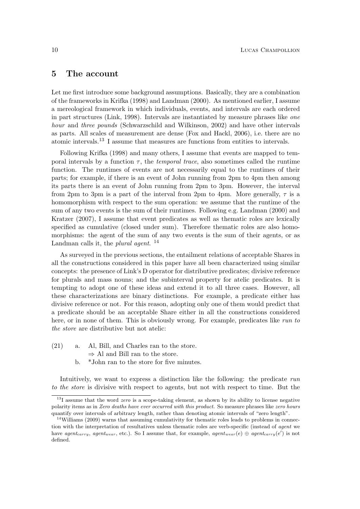#### 5 The account

Let me first introduce some background assumptions. Basically, they are a combination of the frameworks in Krifka (1998) and Landman (2000). As mentioned earlier, I assume a mereological framework in which individuals, events, and intervals are each ordered in part structures (Link, 1998). Intervals are instantiated by measure phrases like one hour and three pounds (Schwarzschild and Wilkinson, 2002) and have other intervals as parts. All scales of measurement are dense (Fox and Hackl, 2006), i.e. there are no atomic intervals.<sup>13</sup> I assume that measures are functions from entities to intervals.

Following Krifka (1998) and many others, I assume that events are mapped to temporal intervals by a function  $\tau$ , the *temporal trace*, also sometimes called the runtime function. The runtimes of events are not necessarily equal to the runtimes of their parts; for example, if there is an event of John running from 2pm to 4pm then among its parts there is an event of John running from 2pm to 3pm. However, the interval from 2pm to 3pm is a part of the interval from 2pm to 4pm. More generally,  $\tau$  is a homomorphism with respect to the sum operation: we assume that the runtime of the sum of any two events is the sum of their runtimes. Following e.g. Landman (2000) and Kratzer (2007), I assume that event predicates as well as thematic roles are lexically specified as cumulative (closed under sum). Therefore thematic roles are also homomorphisms: the agent of the sum of any two events is the sum of their agents, or as Landman calls it, the *plural agent*.<sup>14</sup>

As surveyed in the previous sections, the entailment relations of acceptable Shares in all the constructions considered in this paper have all been characterized using similar concepts: the presence of Link's D operator for distributive predicates; divisive reference for plurals and mass nouns; and the subinterval property for atelic predicates. It is tempting to adopt one of these ideas and extend it to all three cases. However, all these characterizations are binary distinctions. For example, a predicate either has divisive reference or not. For this reason, adopting only one of them would predict that a predicate should be an acceptable Share either in all the constructions considered here, or in none of them. This is obviously wrong. For example, predicates like run to the store are distributive but not atelic:

- (21) a. Al, Bill, and Charles ran to the store.
	- $\Rightarrow$  Al and Bill ran to the store.
	- b. \*John ran to the store for five minutes.

Intuitively, we want to express a distinction like the following: the predicate run to the store is divisive with respect to agents, but not with respect to time. But the

 $131$  assume that the word *zero* is a scope-taking element, as shown by its ability to license negative polarity items as in Zero deaths have ever occurred with this product. So measure phrases like zero hours quantify over intervals of arbitrary length, rather than denoting atomic intervals of "zero length".

<sup>&</sup>lt;sup>14</sup>Williams (2009) warns that assuming cumulativity for thematic roles leads to problems in connection with the interpretation of resultatives unless thematic roles are verb-specific (instead of *agent* we have agent<sub>carry</sub>, agent<sub>wear</sub>, etc.). So I assume that, for example, agent<sub>wear</sub>(e)  $\oplus$  agent<sub>carry</sub>(e') is not defined.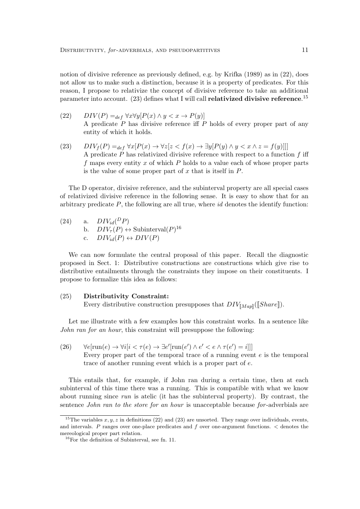notion of divisive reference as previously defined, e.g. by Krifka (1989) as in (22), does not allow us to make such a distinction, because it is a property of predicates. For this reason, I propose to relativize the concept of divisive reference to take an additional parameter into account.  $(23)$  defines what I will call relativized divisive reference.<sup>15</sup>

- (22)  $DIV(P) =_{def} \forall x \forall y [P(x) \land y < x \rightarrow P(y)]$ A predicate  $P$  has divisive reference iff  $P$  holds of every proper part of any entity of which it holds.
- (23)  $DIV_f(P) =_{def} \forall x [P(x) \rightarrow \forall z [z < f(x) \rightarrow \exists y [P(y) \land y < x \land z = f(y)]]]$ A predicate  $P$  has relativized divisive reference with respect to a function  $f$  iff f maps every entity x of which  $P$  holds to a value each of whose proper parts is the value of some proper part of x that is itself in  $P$ .

The D operator, divisive reference, and the subinterval property are all special cases of relativized divisive reference in the following sense. It is easy to show that for an arbitrary predicate  $P$ , the following are all true, where id denotes the identify function:

(24) a.  $DIV_{id}(^DP)$ b.  $DIV_{\tau}(P) \leftrightarrow \text{Subinterval}(P)^{16}$ c.  $DIV_{id}(P) \leftrightarrow DIV(P)$ 

We can now formulate the central proposal of this paper. Recall the diagnostic proposed in Sect. 1: Distributive constructions are constructions which give rise to distributive entailments through the constraints they impose on their constituents. I propose to formalize this idea as follows:

#### (25) Distributivity Constraint:

Every distributive construction presupposes that  $DIV_{[Map]}([\![Share]\!]).$ 

Let me illustrate with a few examples how this constraint works. In a sentence like John ran for an hour, this constraint will presuppose the following:

(26)  $\forall e[\text{run}(e) \rightarrow \forall i[i \leq \tau(e) \rightarrow \exists e'[\text{run}(e') \land e' \leq e \land \tau(e') = i]]]$ Every proper part of the temporal trace of a running event e is the temporal trace of another running event which is a proper part of e.

This entails that, for example, if John ran during a certain time, then at each subinterval of this time there was a running. This is compatible with what we know about running since run is atelic (it has the subinterval property). By contrast, the sentence *John ran to the store for an hour* is unacceptable because for-adverbials are

<sup>&</sup>lt;sup>15</sup>The variables  $x, y, z$  in definitions (22) and (23) are unsorted. They range over individuals, events, and intervals.  $P$  ranges over one-place predicates and  $f$  over one-argument functions.  $\lt$  denotes the mereological proper part relation.

<sup>16</sup>For the definition of Subinterval, see fn. 11.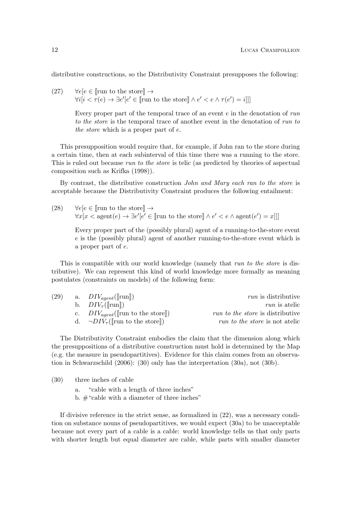distributive constructions, so the Distributivity Constraint presupposes the following:

(27)  $\forall e[e \in \mathbb{r}]$  to the store  $\rightarrow$  $\forall i[i < \tau(e) \rightarrow \exists e'[e' \in \llbracket \text{run to the store} \rrbracket \land e' < e \land \tau(e') = i]]$ 

> Every proper part of the temporal trace of an event e in the denotation of run to the store is the temporal trace of another event in the denotation of run to the store which is a proper part of e.

This presupposition would require that, for example, if John ran to the store during a certain time, then at each subinterval of this time there was a running to the store. This is ruled out because *run to the store* is telic (as predicted by theories of aspectual composition such as Krifka (1998)).

By contrast, the distributive construction John and Mary each ran to the store is acceptable because the Distributivity Constraint produces the following entailment:

(28)  $\forall e[e \in \mathbb{r}]$  to the store  $\rightarrow$  $\forall x[x < \text{agent}(e) \rightarrow \exists e'[e' \in \llbracket \text{run to the store} \rrbracket \land e' < e \land \text{agent}(e') = x]]$ 

Every proper part of the (possibly plural) agent of a running-to-the-store event e is the (possibly plural) agent of another running-to-the-store event which is a proper part of e.

This is compatible with our world knowledge (namely that run to the store is distributive). We can represent this kind of world knowledge more formally as meaning postulates (constraints on models) of the following form:

| (29) | a. $DIV_{agent}(\Vert \text{run} \Vert)$                | <i>run</i> is distributive              |
|------|---------------------------------------------------------|-----------------------------------------|
|      | b. $DIV_\tau(\llbracket \text{run} \rrbracket)$         | <i>run</i> is atelic                    |
|      | c. $DIV_{agent}(\lVert \text{run to the store} \rVert)$ | <i>run to the store</i> is distributive |
|      | d. $\neg DIV_{\tau}(\mathbb{r}$ un to the store         | <i>run to the store</i> is not atelic   |

The Distributivity Constraint embodies the claim that the dimension along which the presuppositions of a distributive construction must hold is determined by the Map (e.g. the measure in pseudopartitives). Evidence for this claim comes from an observation in Schwarzschild (2006): (30) only has the interpretation (30a), not (30b).

(30) three inches of cable

a. "cable with a length of three inches"

b. #"cable with a diameter of three inches"

If divisive reference in the strict sense, as formalized in (22), was a necessary condition on substance nouns of pseudopartitives, we would expect (30a) to be unacceptable because not every part of a cable is a cable: world knowledge tells us that only parts with shorter length but equal diameter are cable, while parts with smaller diameter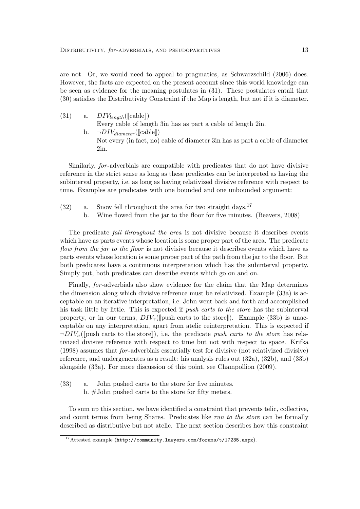are not. Or, we would need to appeal to pragmatics, as Schwarzschild (2006) does. However, the facts are expected on the present account since this world knowledge can be seen as evidence for the meaning postulates in (31). These postulates entail that (30) satisfies the Distributivity Constraint if the Map is length, but not if it is diameter.

- (31) a.  $DIV_{length}(\llbracket \text{cable} \rrbracket)$ Every cable of length 3in has as part a cable of length 2in.
	- b.  $\neg DIV_{diameter}(\llbracket \text{cable} \rrbracket)$ Not every (in fact, no) cable of diameter 3in has as part a cable of diameter 2in.

Similarly, for -adverbials are compatible with predicates that do not have divisive reference in the strict sense as long as these predicates can be interpreted as having the subinterval property, i.e. as long as having relativized divisive reference with respect to time. Examples are predicates with one bounded and one unbounded argument:

- $(32)$  a. Snow fell throughout the area for two straight days.<sup>17</sup>
	- b. Wine flowed from the jar to the floor for five minutes. (Beavers, 2008)

The predicate fall throughout the area is not divisive because it describes events which have as parts events whose location is some proper part of the area. The predicate flow from the jar to the floor is not divisive because it describes events which have as parts events whose location is some proper part of the path from the jar to the floor. But both predicates have a continuous interpretation which has the subinterval property. Simply put, both predicates can describe events which go on and on.

Finally, for -adverbials also show evidence for the claim that the Map determines the dimension along which divisive reference must be relativized. Example (33a) is acceptable on an iterative interpretation, i.e. John went back and forth and accomplished his task little by little. This is expected if push carts to the store has the subinterval property, or in our terms,  $DIV_{\tau}(\lceil \text{push carts to the store} \rceil)$ . Example (33b) is unacceptable on any interpretation, apart from atelic reinterpretation. This is expected if  $\neg DIV_{\sigma}(\mathbb{I})$  push carts to the store]), i.e. the predicate push carts to the store has relativized divisive reference with respect to time but not with respect to space. Krifka (1998) assumes that for -adverbials essentially test for divisive (not relativized divisive) reference, and undergenerates as a result: his analysis rules out (32a), (32b), and (33b) alongside (33a). For more discussion of this point, see Champollion (2009).

(33) a. John pushed carts to the store for five minutes. b. #John pushed carts to the store for fifty meters.

To sum up this section, we have identified a constraint that prevents telic, collective, and count terms from being Shares. Predicates like run to the store can be formally described as distributive but not atelic. The next section describes how this constraint

<sup>17</sup>Attested example (http://community.lawyers.com/forums/t/17235.aspx).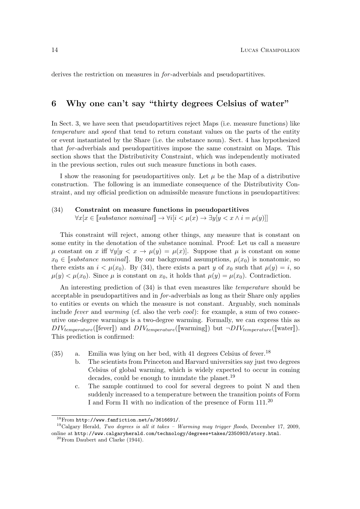derives the restriction on measures in *for*-adverbials and pseudopartitives.

# 6 Why one can't say "thirty degrees Celsius of water"

In Sect. 3, we have seen that pseudopartitives reject Maps (i.e. measure functions) like temperature and speed that tend to return constant values on the parts of the entity or event instantiated by the Share (i.e. the substance noun). Sect. 4 has hypothesized that for -adverbials and pseudopartitives impose the same constraint on Maps. This section shows that the Distributivity Constraint, which was independently motivated in the previous section, rules out such measure functions in both cases.

I show the reasoning for pseudopartitives only. Let  $\mu$  be the Map of a distributive construction. The following is an immediate consequence of the Distributivity Constraint, and my official prediction on admissible measure functions in pseudopartitives:

#### (34) Constraint on measure functions in pseudopartitives

 $\forall x[x \in [\text{substance nominal}] \rightarrow \forall i[i < \mu(x) \rightarrow \exists y[y < x \land i = \mu(y)]]$ 

This constraint will reject, among other things, any measure that is constant on some entity in the denotation of the substance nominal. Proof: Let us call a measure  $\mu$  constant on x iff  $\forall y | y < x \rightarrow \mu(y) = \mu(x)$ . Suppose that  $\mu$  is constant on some  $x_0 \in \llbracket$ substance nominal. By our background assumptions,  $\mu(x_0)$  is nonatomic, so there exists an  $i < \mu(x_0)$ . By (34), there exists a part y of  $x_0$  such that  $\mu(y) = i$ , so  $\mu(y) < \mu(x_0)$ . Since  $\mu$  is constant on  $x_0$ , it holds that  $\mu(y) = \mu(x_0)$ . Contradiction.

An interesting prediction of (34) is that even measures like temperature should be acceptable in pseudopartitives and in for -adverbials as long as their Share only applies to entities or events on which the measure is not constant. Arguably, such nominals include *fever* and *warming* (cf. also the verb  $cool$ ): for example, a sum of two consecutive one-degree warmings is a two-degree warming. Formally, we can express this as  $DIV_{temperature}(\llbracket \text{fever} \rrbracket)$  and  $DIV_{temperature}(\llbracket \text{warming} \rrbracket)$  but  $\neg DIV_{temperature}(\llbracket \text{water} \rrbracket)$ . This prediction is confirmed:

- $(35)$  a. Emilia was lying on her bed, with 41 degrees Celsius of fever.<sup>18</sup>
	- b. The scientists from Princeton and Harvard universities say just two degrees Celsius of global warming, which is widely expected to occur in coming decades, could be enough to inundate the planet.<sup>19</sup>
	- c. The sample continued to cool for several degrees to point N and then suddenly increased to a temperature between the transition points of Form I and Form I1 with no indication of the presence of Form 111.<sup>20</sup>

 $^{18}\rm{From}$ http://www.fanfiction.net/s/3616691/.

 $19C$ algary Herald, Two degrees is all it takes - Warming may trigger floods, December 17, 2009, online at http://www.calgaryherald.com/technology/degrees+takes/2350903/story.html.

 $20$ From Daubert and Clarke (1944).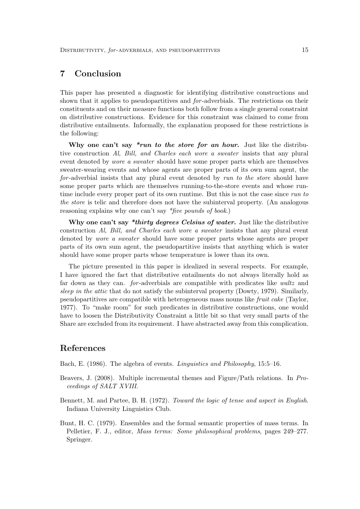# 7 Conclusion

This paper has presented a diagnostic for identifying distributive constructions and shown that it applies to pseudopartitives and *for*-adverbials. The restrictions on their constituents and on their measure functions both follow from a single general constraint on distributive constructions. Evidence for this constraint was claimed to come from distributive entailments. Informally, the explanation proposed for these restrictions is the following:

Why one can't say  $*run$  to the store for an hour. Just like the distributive construction Al, Bill, and Charles each wore a sweater insists that any plural event denoted by wore a sweater should have some proper parts which are themselves sweater-wearing events and whose agents are proper parts of its own sum agent, the for-adverbial insists that any plural event denoted by run to the store should have some proper parts which are themselves running-to-the-store events and whose runtime include every proper part of its own runtime. But this is not the case since run to the store is telic and therefore does not have the subinterval property. (An analogous reasoning explains why one can't say \*five pounds of book.)

Why one can't say \*thirty degrees Celsius of water. Just like the distributive construction Al, Bill, and Charles each wore a sweater insists that any plural event denoted by wore a sweater should have some proper parts whose agents are proper parts of its own sum agent, the pseudopartitive insists that anything which is water should have some proper parts whose temperature is lower than its own.

The picture presented in this paper is idealized in several respects. For example, I have ignored the fact that distributive entailments do not always literally hold as far down as they can. *for*-adverbials are compatible with predicates like waltz and sleep in the attic that do not satisfy the subinterval property (Dowty, 1979). Similarly, pseudopartitives are compatible with heterogeneous mass nouns like fruit cake (Taylor, 1977). To "make room" for such predicates in distributive constructions, one would have to loosen the Distributivity Constraint a little bit so that very small parts of the Share are excluded from its requirement. I have abstracted away from this complication.

### References

Bach, E. (1986). The algebra of events. Linguistics and Philosophy, 15:5–16.

- Beavers, J. (2008). Multiple incremental themes and Figure/Path relations. In Proceedings of SALT XVIII.
- Bennett, M. and Partee, B. H. (1972). Toward the logic of tense and aspect in English. Indiana University Linguistics Club.
- Bunt, H. C. (1979). Ensembles and the formal semantic properties of mass terms. In Pelletier, F. J., editor, Mass terms: Some philosophical problems, pages 249–277. Springer.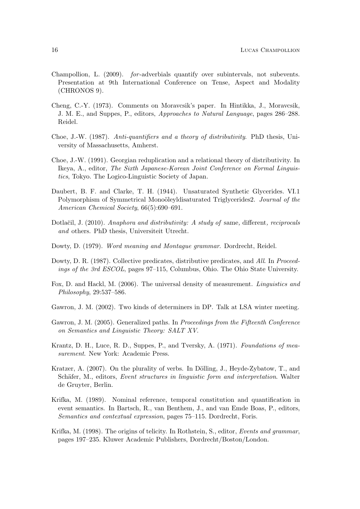- Champollion, L. (2009). for -adverbials quantify over subintervals, not subevents. Presentation at 9th International Conference on Tense, Aspect and Modality (CHRONOS 9).
- Cheng, C.-Y. (1973). Comments on Moravcsik's paper. In Hintikka, J., Moravcsik, J. M. E., and Suppes, P., editors, Approaches to Natural Language, pages 286–288. Reidel.
- Choe, J.-W. (1987). Anti-quantifiers and a theory of distributivity. PhD thesis, University of Massachusetts, Amherst.
- Choe, J.-W. (1991). Georgian reduplication and a relational theory of distributivity. In Ikeya, A., editor, The Sixth Japanese-Korean Joint Conference on Formal Linguistics, Tokyo. The Logico-Linguistic Society of Japan.
- Daubert, B. F. and Clarke, T. H. (1944). Unsaturated Synthetic Glycerides. VI.1 Polymorphism of Symmetrical Monoöleyldisaturated Triglycerides2. Journal of the American Chemical Society, 66(5):690–691.
- Dotlačil, J. (2010). Anaphora and distributivity: A study of same, different, reciprocals and others. PhD thesis, Universiteit Utrecht.
- Dowty, D. (1979). Word meaning and Montague grammar. Dordrecht, Reidel.
- Dowty, D. R. (1987). Collective predicates, distributive predicates, and All. In Proceedings of the 3rd ESCOL, pages 97–115, Columbus, Ohio. The Ohio State University.
- Fox, D. and Hackl, M. (2006). The universal density of measurement. Linguistics and Philosophy, 29:537–586.
- Gawron, J. M. (2002). Two kinds of determiners in DP. Talk at LSA winter meeting.
- Gawron, J. M. (2005). Generalized paths. In Proceedings from the Fifteenth Conference on Semantics and Linguistic Theory: SALT XV.
- Krantz, D. H., Luce, R. D., Suppes, P., and Tversky, A. (1971). Foundations of measurement. New York: Academic Press.
- Kratzer, A.  $(2007)$ . On the plurality of verbs. In Dölling, J., Heyde-Zybatow, T., and Schäfer, M., editors, Event structures in linguistic form and interpretation. Walter de Gruyter, Berlin.
- Krifka, M. (1989). Nominal reference, temporal constitution and quantification in event semantics. In Bartsch, R., van Benthem, J., and van Emde Boas, P., editors, Semantics and contextual expression, pages 75–115. Dordrecht, Foris.
- Krifka, M. (1998). The origins of telicity. In Rothstein, S., editor, Events and grammar, pages 197–235. Kluwer Academic Publishers, Dordrecht/Boston/London.